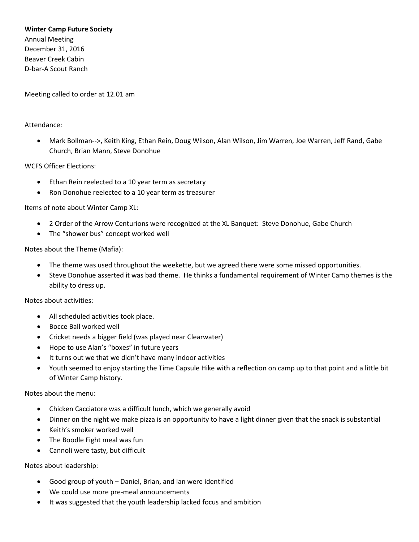### **Winter Camp Future Society**

Annual Meeting December 31, 2016 Beaver Creek Cabin D-bar-A Scout Ranch

Meeting called to order at 12.01 am

#### Attendance:

• Mark Bollman-->, Keith King, Ethan Rein, Doug Wilson, Alan Wilson, Jim Warren, Joe Warren, Jeff Rand, Gabe Church, Brian Mann, Steve Donohue

### WCFS Officer Elections:

- Ethan Rein reelected to a 10 year term as secretary
- Ron Donohue reelected to a 10 year term as treasurer

### Items of note about Winter Camp XL:

- 2 Order of the Arrow Centurions were recognized at the XL Banquet: Steve Donohue, Gabe Church
- The "shower bus" concept worked well

### Notes about the Theme (Mafia):

- The theme was used throughout the weekette, but we agreed there were some missed opportunities.
- Steve Donohue asserted it was bad theme. He thinks a fundamental requirement of Winter Camp themes is the ability to dress up.

Notes about activities:

- All scheduled activities took place.
- Bocce Ball worked well
- Cricket needs a bigger field (was played near Clearwater)
- Hope to use Alan's "boxes" in future years
- It turns out we that we didn't have many indoor activities
- Youth seemed to enjoy starting the Time Capsule Hike with a reflection on camp up to that point and a little bit of Winter Camp history.

# Notes about the menu:

- Chicken Cacciatore was a difficult lunch, which we generally avoid
- Dinner on the night we make pizza is an opportunity to have a light dinner given that the snack is substantial
- Keith's smoker worked well
- The Boodle Fight meal was fun
- Cannoli were tasty, but difficult

### Notes about leadership:

- Good group of youth Daniel, Brian, and Ian were identified
- We could use more pre-meal announcements
- It was suggested that the youth leadership lacked focus and ambition